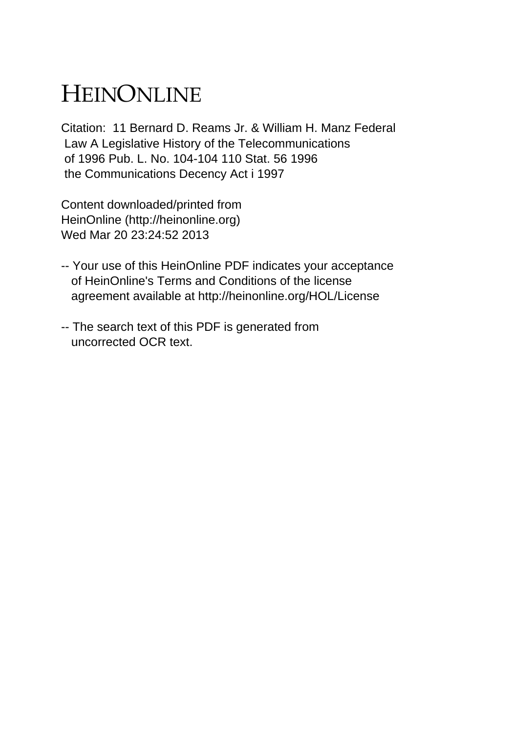## HEINONLINE

Citation: 11 Bernard D. Reams Jr. & William H. Manz Federal Law A Legislative History of the Telecommunications of 1996 Pub. L. No. 104-104 110 Stat. 56 1996 the Communications Decency Act i 1997

Content downloaded/printed from HeinOnline (http://heinonline.org) Wed Mar 20 23:24:52 2013

- -- Your use of this HeinOnline PDF indicates your acceptance of HeinOnline's Terms and Conditions of the license agreement available at http://heinonline.org/HOL/License
- -- The search text of this PDF is generated from uncorrected OCR text.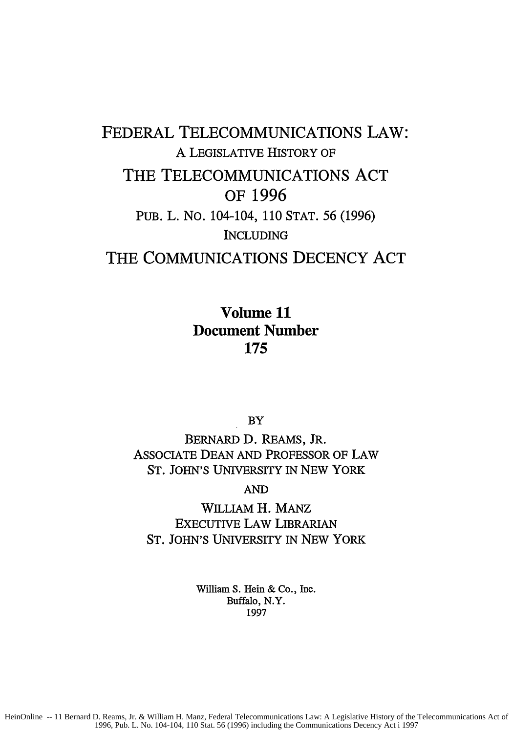## FEDERAL TELECOMMUNICATIONS LAW: A LEGISLATIVE HISTORY OF THE TELECOMMUNICATIONS **ACT** OF **1996 PUB.** L. NO. 104-104, 110 STAT. 56 (1996) INCLUDING THE COMMUNICATIONS **DECENCY ACT**

Volume **11** Document Number **175**

**BY** 

BERNARD **D.** REAMS, JR. ASSOCIATE DEAN AND PROFESSOR OF LAW ST. JOHN'S UNIVERSITY IN NEW YORK

AND

WILLIAM H. MANz EXECUTIVE LAW **LIBRARIAN** ST. JOHN'S UNIVERSITY IN NEW YORK

> William S. Hein & Co., Inc. Buffalo, N.Y. 1997